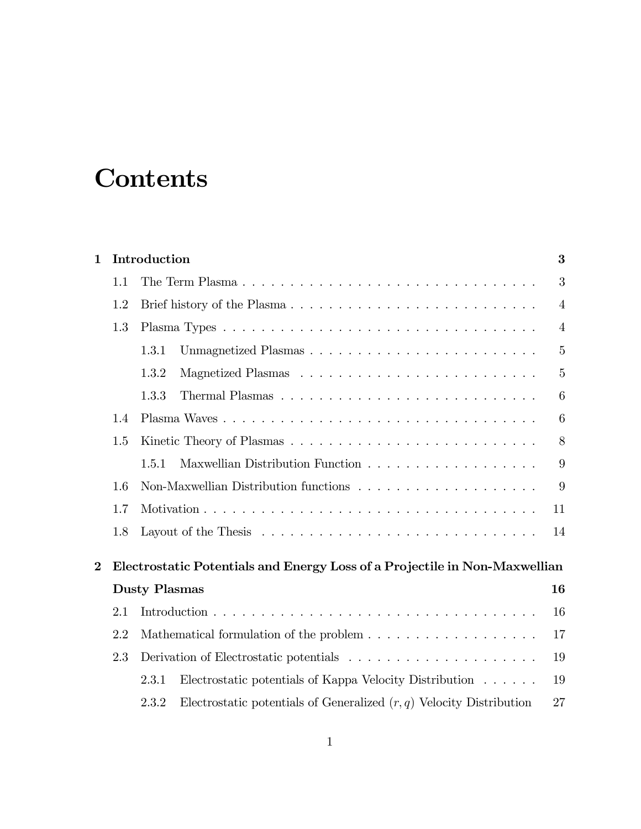## **Contents**

| 1        | Introduction                                                                         |                                                                                                |                |  |  |  |
|----------|--------------------------------------------------------------------------------------|------------------------------------------------------------------------------------------------|----------------|--|--|--|
|          | 1.1                                                                                  | The Term Plasma                                                                                | 3              |  |  |  |
|          | 1.2                                                                                  |                                                                                                |                |  |  |  |
|          | 1.3                                                                                  |                                                                                                | $\overline{4}$ |  |  |  |
|          |                                                                                      | Unmagnetized Plasmas<br>1.3.1                                                                  | $\overline{5}$ |  |  |  |
|          |                                                                                      | 1.3.2                                                                                          | 5              |  |  |  |
|          |                                                                                      | 1.3.3                                                                                          | 6              |  |  |  |
|          | 1.4                                                                                  |                                                                                                | 6              |  |  |  |
|          | 1.5                                                                                  |                                                                                                | 8              |  |  |  |
|          |                                                                                      | 1.5.1                                                                                          | 9              |  |  |  |
|          | 1.6                                                                                  | Non-Maxwellian Distribution functions                                                          |                |  |  |  |
|          | 1.7                                                                                  |                                                                                                | 11             |  |  |  |
|          | 1.8                                                                                  | Layout of the Thesis $\dots \dots \dots \dots \dots \dots \dots \dots \dots \dots \dots \dots$ | 14             |  |  |  |
| $\bf{2}$ |                                                                                      | Electrostatic Potentials and Energy Loss of a Projectile in Non-Maxwellian                     |                |  |  |  |
|          | <b>Dusty Plasmas</b><br>16                                                           |                                                                                                |                |  |  |  |
|          | 2.1                                                                                  |                                                                                                |                |  |  |  |
|          | 2.2<br>Mathematical formulation of the problem $\dots \dots \dots \dots \dots \dots$ |                                                                                                |                |  |  |  |
|          | 2.3                                                                                  |                                                                                                | 19             |  |  |  |
|          |                                                                                      | 2.3.1<br>Electrostatic potentials of Kappa Velocity Distribution                               | 19             |  |  |  |
|          |                                                                                      | Electrostatic potentials of Generalized $(r, q)$ Velocity Distribution<br>2.3.2                | 27             |  |  |  |